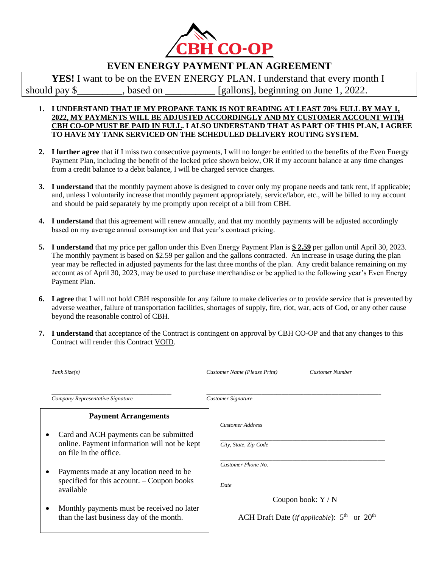

## **EVEN ENERGY PAYMENT PLAN AGREEMENT**

**YES!** I want to be on the EVEN ENERGY PLAN. I understand that every month I should pay \$ hould pay \$ hould pay \$ hould pay \$ hould pay \$ hould pay \$ hould pay \$ hould be seen as  $\left[\text{gallons}\right]$ , beginning on June 1, 2022.

## **1. I UNDERSTAND THAT IF MY PROPANE TANK IS NOT READING AT LEAST 70% FULL BY MAY 1, 2022, MY PAYMENTS WILL BE ADJUSTED ACCORDINGLY AND MY CUSTOMER ACCOUNT WITH CBH CO-OP MUST BE PAID IN FULL. I ALSO UNDERSTAND THAT AS PART OF THIS PLAN, I AGREE TO HAVE MY TANK SERVICED ON THE SCHEDULED DELIVERY ROUTING SYSTEM.**

- **2. I further agree** that if I miss two consecutive payments, I will no longer be entitled to the benefits of the Even Energy Payment Plan, including the benefit of the locked price shown below, OR if my account balance at any time changes from a credit balance to a debit balance, I will be charged service charges.
- **3. I understand** that the monthly payment above is designed to cover only my propane needs and tank rent, if applicable; and, unless I voluntarily increase that monthly payment appropriately, service/labor, etc., will be billed to my account and should be paid separately by me promptly upon receipt of a bill from CBH.
- **4. I understand** that this agreement will renew annually, and that my monthly payments will be adjusted accordingly based on my average annual consumption and that year's contract pricing.
- **5. I understand** that my price per gallon under this Even Energy Payment Plan is **\$ 2.59** per gallon until April 30, 2023. The monthly payment is based on \$2.59 per gallon and the gallons contracted. An increase in usage during the plan year may be reflected in adjusted payments for the last three months of the plan. Any credit balance remaining on my account as of April 30, 2023, may be used to purchase merchandise or be applied to the following year's Even Energy Payment Plan.
- **6. I agree** that I will not hold CBH responsible for any failure to make deliveries or to provide service that is prevented by adverse weather, failure of transportation facilities, shortages of supply, fire, riot, war, acts of God, or any other cause beyond the reasonable control of CBH.
- **7. I understand** that acceptance of the Contract is contingent on approval by CBH CO-OP and that any changes to this Contract will render this Contract VOID.

| Tank $Size(s)$                                                                                                   | Customer Name (Please Print)<br><b>Customer Number</b>                            |
|------------------------------------------------------------------------------------------------------------------|-----------------------------------------------------------------------------------|
| Company Representative Signature                                                                                 | <b>Customer Signature</b>                                                         |
| <b>Payment Arrangements</b>                                                                                      |                                                                                   |
| Card and ACH payments can be submitted<br>online. Payment information will not be kept<br>on file in the office. | <b>Customer Address</b><br>City, State, Zip Code                                  |
| Payments made at any location need to be<br>specified for this account. $-$ Coupon books<br>available            | Customer Phone No.<br>Date                                                        |
| Monthly payments must be received no later<br>than the last business day of the month.                           | Coupon book: $Y/N$<br>ACH Draft Date ( <i>if applicable</i> ): $5th$<br>or $20th$ |